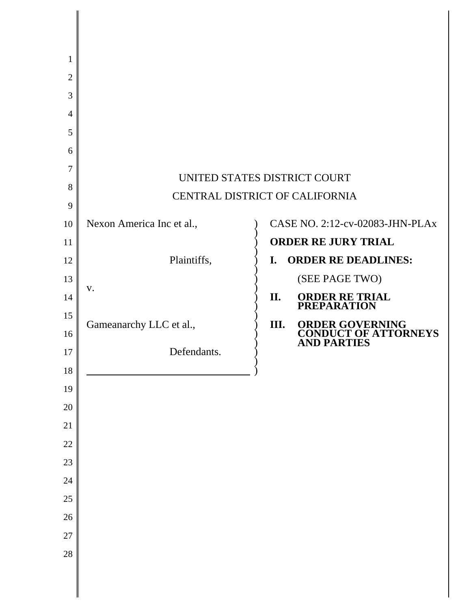| 1              |                                                                |     |                                                   |
|----------------|----------------------------------------------------------------|-----|---------------------------------------------------|
| $\overline{2}$ |                                                                |     |                                                   |
| 3              |                                                                |     |                                                   |
| $\overline{4}$ |                                                                |     |                                                   |
| 5              |                                                                |     |                                                   |
| 6              |                                                                |     |                                                   |
| 7              |                                                                |     |                                                   |
| 8              | UNITED STATES DISTRICT COURT<br>CENTRAL DISTRICT OF CALIFORNIA |     |                                                   |
| 9              |                                                                |     |                                                   |
| 10             | Nexon America Inc et al.,                                      |     | CASE NO. 2:12-cv-02083-JHN-PLAx                   |
| 11             |                                                                |     | <b>ORDER RE JURY TRIAL</b>                        |
| 12             | Plaintiffs,                                                    | I.  | <b>ORDER RE DEADLINES:</b>                        |
| 13             |                                                                |     | (SEE PAGE TWO)                                    |
| 14             | V.                                                             | II. | <b>ORDER RE TRIAL</b><br><b>PREPARATION</b>       |
| 15             | Gameanarchy LLC et al.,                                        | Ш.  | <b>ORDER GOVERNING</b>                            |
| 16             |                                                                |     | <b>CONDUCT OF ATTORNEYS</b><br><b>AND PARTIES</b> |
| 17             | Defendants.                                                    |     |                                                   |
| 18             |                                                                |     |                                                   |
| 19             |                                                                |     |                                                   |
| 20             |                                                                |     |                                                   |
| 21             |                                                                |     |                                                   |
| 22             |                                                                |     |                                                   |
| 23             |                                                                |     |                                                   |
| 24             |                                                                |     |                                                   |
| 25             |                                                                |     |                                                   |
| 26             |                                                                |     |                                                   |
| 27             |                                                                |     |                                                   |
| 28             |                                                                |     |                                                   |
|                |                                                                |     |                                                   |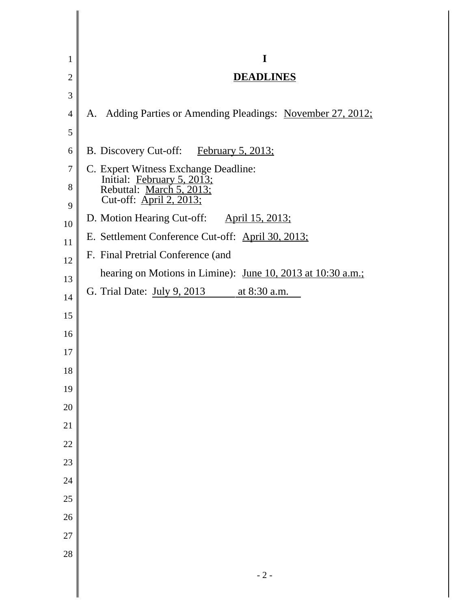| 1              | I                                                              |
|----------------|----------------------------------------------------------------|
| $\overline{2}$ | <b>DEADLINES</b>                                               |
| 3              |                                                                |
| $\overline{4}$ | Adding Parties or Amending Pleadings: November 27, 2012;<br>A. |
| 5              |                                                                |
| 6              | B. Discovery Cut-off: February 5, 2013;                        |
| 7              | C. Expert Witness Exchange Deadline:                           |
| 8              | Initial: February 5, 2013;<br>Rebuttal: March 5, 2013;         |
| 9              | Cut-off: April 2, 2013;                                        |
| 10             | D. Motion Hearing Cut-off: April 15, 2013;                     |
| 11             | E. Settlement Conference Cut-off: April 30, 2013;              |
| 12             | F. Final Pretrial Conference (and                              |
| 13             | hearing on Motions in Limine): June 10, 2013 at 10:30 a.m.;    |
| 14             | G. Trial Date: July 9, 2013 at 8:30 a.m.                       |
| 15             |                                                                |
| 16             |                                                                |
| 17             |                                                                |
| 18             |                                                                |
| 19             |                                                                |
| 20             |                                                                |
| 21             |                                                                |
| 22             |                                                                |
| 23             |                                                                |
| 24             |                                                                |
| 25             |                                                                |
| 26             |                                                                |
| 27             |                                                                |
| 28             |                                                                |
|                |                                                                |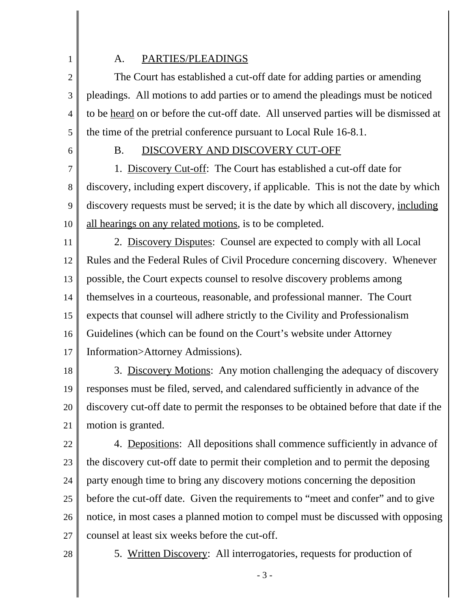## 1

#### A. PARTIES/PLEADINGS

2 3 4 5 The Court has established a cut-off date for adding parties or amending pleadings. All motions to add parties or to amend the pleadings must be noticed to be heard on or before the cut-off date. All unserved parties will be dismissed at the time of the pretrial conference pursuant to Local Rule 16-8.1.

6

## B. DISCOVERY AND DISCOVERY CUT-OFF

7 8 9 10 1. Discovery Cut-off: The Court has established a cut-off date for discovery, including expert discovery, if applicable. This is not the date by which discovery requests must be served; it is the date by which all discovery, including all hearings on any related motions, is to be completed.

11 12 13 14 15 16 17 2. Discovery Disputes: Counsel are expected to comply with all Local Rules and the Federal Rules of Civil Procedure concerning discovery. Whenever possible, the Court expects counsel to resolve discovery problems among themselves in a courteous, reasonable, and professional manner. The Court expects that counsel will adhere strictly to the Civility and Professionalism Guidelines (which can be found on the Court's website under Attorney Information>Attorney Admissions).

18

19 20 21 3. Discovery Motions: Any motion challenging the adequacy of discovery responses must be filed, served, and calendared sufficiently in advance of the discovery cut-off date to permit the responses to be obtained before that date if the motion is granted.

22 23 24 25 26 27 4. Depositions: All depositions shall commence sufficiently in advance of the discovery cut-off date to permit their completion and to permit the deposing party enough time to bring any discovery motions concerning the deposition before the cut-off date. Given the requirements to "meet and confer" and to give notice, in most cases a planned motion to compel must be discussed with opposing counsel at least six weeks before the cut-off.

28

5. Written Discovery: All interrogatories, requests for production of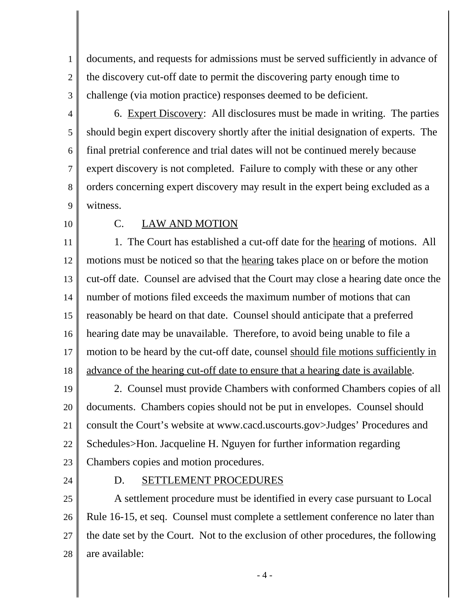1 2 3 documents, and requests for admissions must be served sufficiently in advance of the discovery cut-off date to permit the discovering party enough time to challenge (via motion practice) responses deemed to be deficient.

- 4 5 6 7 8 9 6. Expert Discovery: All disclosures must be made in writing. The parties should begin expert discovery shortly after the initial designation of experts. The final pretrial conference and trial dates will not be continued merely because expert discovery is not completed. Failure to comply with these or any other orders concerning expert discovery may result in the expert being excluded as a witness.
- 10

### C. LAW AND MOTION

11 12 13 14 15 16 17 18 1. The Court has established a cut-off date for the hearing of motions. All motions must be noticed so that the hearing takes place on or before the motion cut-off date. Counsel are advised that the Court may close a hearing date once the number of motions filed exceeds the maximum number of motions that can reasonably be heard on that date. Counsel should anticipate that a preferred hearing date may be unavailable. Therefore, to avoid being unable to file a motion to be heard by the cut-off date, counsel should file motions sufficiently in advance of the hearing cut-off date to ensure that a hearing date is available.

19 20 21 22 23 2. Counsel must provide Chambers with conformed Chambers copies of all documents. Chambers copies should not be put in envelopes. Counsel should consult the Court's website at www.cacd.uscourts.gov>Judges' Procedures and Schedules>Hon. Jacqueline H. Nguyen for further information regarding Chambers copies and motion procedures.

24

#### D. SETTLEMENT PROCEDURES

25 26 27 28 A settlement procedure must be identified in every case pursuant to Local Rule 16-15, et seq. Counsel must complete a settlement conference no later than the date set by the Court. Not to the exclusion of other procedures, the following are available:

- 4 -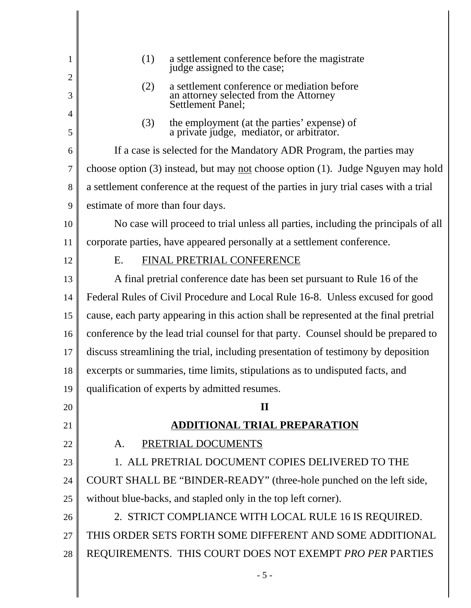| 1      | (1)<br>a settlement conference before the magistrate<br>judge assigned to the case;             |  |  |
|--------|-------------------------------------------------------------------------------------------------|--|--|
| 2<br>3 | a settlement conference or mediation before<br>(2)                                              |  |  |
| 4      | an attorney selected from the Attorney<br>Settlement Panel;                                     |  |  |
| 5      | the employment (at the parties' expense) of<br>a private judge, mediator, or arbitrator.<br>(3) |  |  |
| 6      | If a case is selected for the Mandatory ADR Program, the parties may                            |  |  |
| 7      | choose option $(3)$ instead, but may <u>not</u> choose option $(1)$ . Judge Nguyen may hold     |  |  |
| 8      | a settlement conference at the request of the parties in jury trial cases with a trial          |  |  |
| 9      | estimate of more than four days.                                                                |  |  |
| 10     | No case will proceed to trial unless all parties, including the principals of all               |  |  |
| 11     | corporate parties, have appeared personally at a settlement conference.                         |  |  |
| 12     | FINAL PRETRIAL CONFERENCE<br>E.                                                                 |  |  |
| 13     | A final pretrial conference date has been set pursuant to Rule 16 of the                        |  |  |
| 14     | Federal Rules of Civil Procedure and Local Rule 16-8. Unless excused for good                   |  |  |
| 15     | cause, each party appearing in this action shall be represented at the final pretrial           |  |  |
| 16     | conference by the lead trial counsel for that party. Counsel should be prepared to              |  |  |
| 17     | discuss streamlining the trial, including presentation of testimony by deposition               |  |  |
| 18     | excerpts or summaries, time limits, stipulations as to undisputed facts, and                    |  |  |
| 19     | qualification of experts by admitted resumes.                                                   |  |  |
| 20     | $\mathbf{I}$                                                                                    |  |  |
| 21     | <u>ADDITIONAL TRIAL PREPARATION</u>                                                             |  |  |
| 22     | PRETRIAL DOCUMENTS<br>A.                                                                        |  |  |
| 23     | 1. ALL PRETRIAL DOCUMENT COPIES DELIVERED TO THE                                                |  |  |
| 24     | COURT SHALL BE "BINDER-READY" (three-hole punched on the left side,                             |  |  |
| 25     | without blue-backs, and stapled only in the top left corner).                                   |  |  |
| 26     | 2. STRICT COMPLIANCE WITH LOCAL RULE 16 IS REQUIRED.                                            |  |  |
| 27     | THIS ORDER SETS FORTH SOME DIFFERENT AND SOME ADDITIONAL                                        |  |  |
| 28     | REQUIREMENTS. THIS COURT DOES NOT EXEMPT PRO PER PARTIES                                        |  |  |
|        | $-5-$                                                                                           |  |  |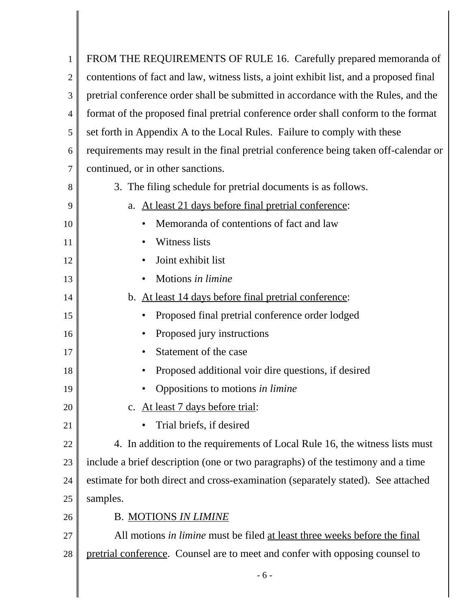| 1              | FROM THE REQUIREMENTS OF RULE 16. Carefully prepared memoranda of                      |  |  |
|----------------|----------------------------------------------------------------------------------------|--|--|
| $\overline{2}$ | contentions of fact and law, witness lists, a joint exhibit list, and a proposed final |  |  |
| 3              | pretrial conference order shall be submitted in accordance with the Rules, and the     |  |  |
| $\overline{4}$ | format of the proposed final pretrial conference order shall conform to the format     |  |  |
| 5              | set forth in Appendix A to the Local Rules. Failure to comply with these               |  |  |
| 6              | requirements may result in the final pretrial conference being taken off-calendar or   |  |  |
| 7              | continued, or in other sanctions.                                                      |  |  |
| 8              | 3. The filing schedule for pretrial documents is as follows.                           |  |  |
| 9              | At least 21 days before final pretrial conference:<br>a.                               |  |  |
| 10             | Memoranda of contentions of fact and law                                               |  |  |
| 11             | Witness lists                                                                          |  |  |
| 12             | Joint exhibit list                                                                     |  |  |
| 13             | Motions in limine                                                                      |  |  |
| 14             | At least 14 days before final pretrial conference:<br>$\mathbf{b}$ .                   |  |  |
| 15             | Proposed final pretrial conference order lodged                                        |  |  |
| 16             | Proposed jury instructions                                                             |  |  |
| 17             | Statement of the case                                                                  |  |  |
| 18             | Proposed additional voir dire questions, if desired                                    |  |  |
| 19             | Oppositions to motions in limine                                                       |  |  |
| 20             | c. At least 7 days before trial:                                                       |  |  |
| 21             | Trial briefs, if desired                                                               |  |  |
| 22             | 4. In addition to the requirements of Local Rule 16, the witness lists must            |  |  |
| 23             | include a brief description (one or two paragraphs) of the testimony and a time        |  |  |
| 24             | estimate for both direct and cross-examination (separately stated). See attached       |  |  |
| 25             | samples.                                                                               |  |  |
| 26             | <b>B. MOTIONS IN LIMINE</b>                                                            |  |  |
| 27             | All motions in limine must be filed at least three weeks before the final              |  |  |
| 28             | pretrial conference. Counsel are to meet and confer with opposing counsel to           |  |  |
|                |                                                                                        |  |  |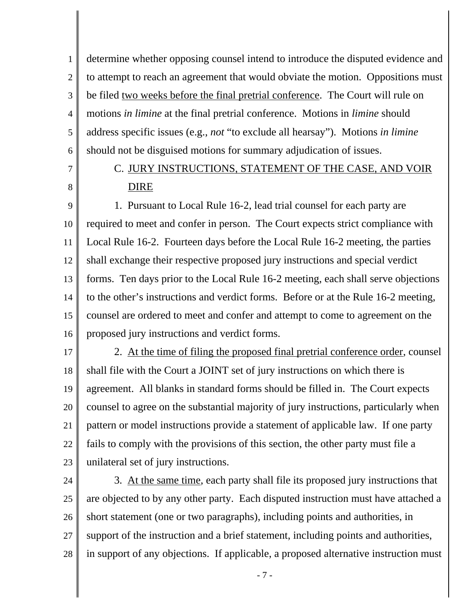1 2 3 4 5 6 determine whether opposing counsel intend to introduce the disputed evidence and to attempt to reach an agreement that would obviate the motion. Oppositions must be filed two weeks before the final pretrial conference. The Court will rule on motions *in limine* at the final pretrial conference. Motions in *limine* should address specific issues (e.g., *not* "to exclude all hearsay"). Motions *in limine* should not be disguised motions for summary adjudication of issues.

7

8

# C. JURY INSTRUCTIONS, STATEMENT OF THE CASE, AND VOIR DIRE

9 10 11 12 13 14 15 16 1. Pursuant to Local Rule 16-2, lead trial counsel for each party are required to meet and confer in person. The Court expects strict compliance with Local Rule 16-2. Fourteen days before the Local Rule 16-2 meeting, the parties shall exchange their respective proposed jury instructions and special verdict forms. Ten days prior to the Local Rule 16-2 meeting, each shall serve objections to the other's instructions and verdict forms. Before or at the Rule 16-2 meeting, counsel are ordered to meet and confer and attempt to come to agreement on the proposed jury instructions and verdict forms.

17 18 19 20 21 22 23 2. At the time of filing the proposed final pretrial conference order, counsel shall file with the Court a JOINT set of jury instructions on which there is agreement. All blanks in standard forms should be filled in. The Court expects counsel to agree on the substantial majority of jury instructions, particularly when pattern or model instructions provide a statement of applicable law. If one party fails to comply with the provisions of this section, the other party must file a unilateral set of jury instructions.

24 25 26 27 28 3. At the same time, each party shall file its proposed jury instructions that are objected to by any other party. Each disputed instruction must have attached a short statement (one or two paragraphs), including points and authorities, in support of the instruction and a brief statement, including points and authorities, in support of any objections. If applicable, a proposed alternative instruction must

- 7 -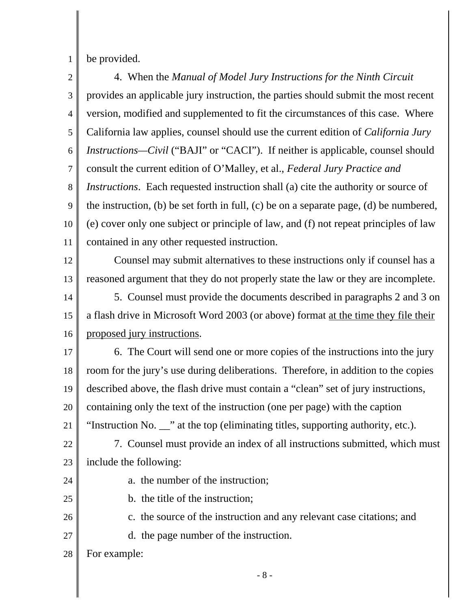1 be provided.

2 3 4 5 6 7 8 9 10 11 12 13 14 15 16 17 18 19 20 21 22 23 24 25 26 27 28 4. When the *Manual of Model Jury Instructions for the Ninth Circuit* provides an applicable jury instruction, the parties should submit the most recent version, modified and supplemented to fit the circumstances of this case. Where California law applies, counsel should use the current edition of *California Jury Instructions—Civil* ("BAJI" or "CACI"). If neither is applicable, counsel should consult the current edition of O'Malley, et al., *Federal Jury Practice and Instructions*. Each requested instruction shall (a) cite the authority or source of the instruction, (b) be set forth in full, (c) be on a separate page, (d) be numbered, (e) cover only one subject or principle of law, and (f) not repeat principles of law contained in any other requested instruction. Counsel may submit alternatives to these instructions only if counsel has a reasoned argument that they do not properly state the law or they are incomplete. 5. Counsel must provide the documents described in paragraphs 2 and 3 on a flash drive in Microsoft Word 2003 (or above) format at the time they file their proposed jury instructions. 6. The Court will send one or more copies of the instructions into the jury room for the jury's use during deliberations. Therefore, in addition to the copies described above, the flash drive must contain a "clean" set of jury instructions, containing only the text of the instruction (one per page) with the caption "Instruction No. \_\_" at the top (eliminating titles, supporting authority, etc.). 7. Counsel must provide an index of all instructions submitted, which must include the following: a. the number of the instruction; b. the title of the instruction; c. the source of the instruction and any relevant case citations; and d. the page number of the instruction. For example:

- 8 -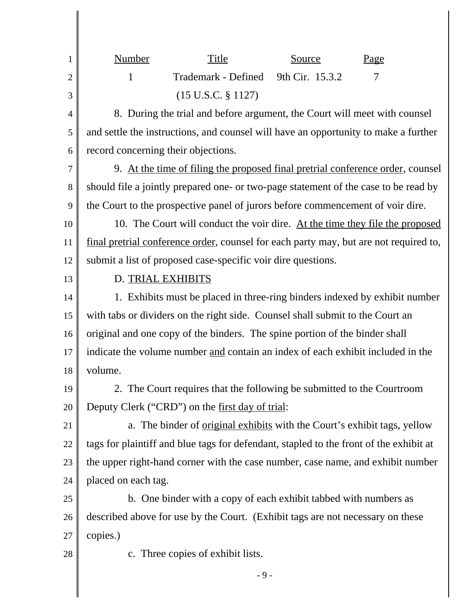| $\mathbf{1}$   | <b>Number</b>                                                                         | Title                                                                                  | Source          |  | Page |
|----------------|---------------------------------------------------------------------------------------|----------------------------------------------------------------------------------------|-----------------|--|------|
| $\mathbf{2}$   | 1                                                                                     | Trademark - Defined                                                                    | 9th Cir. 15.3.2 |  | 7    |
| 3              |                                                                                       | $(15 \text{ U.S.C. } § 1127)$                                                          |                 |  |      |
| $\overline{4}$ | 8. During the trial and before argument, the Court will meet with counsel             |                                                                                        |                 |  |      |
| 5              |                                                                                       | and settle the instructions, and counsel will have an opportunity to make a further    |                 |  |      |
| 6              | record concerning their objections.                                                   |                                                                                        |                 |  |      |
| $\overline{7}$ |                                                                                       | 9. At the time of filing the proposed final pretrial conference order, counsel         |                 |  |      |
| 8              | should file a jointly prepared one- or two-page statement of the case to be read by   |                                                                                        |                 |  |      |
| 9              | the Court to the prospective panel of jurors before commencement of voir dire.        |                                                                                        |                 |  |      |
| 10             | 10. The Court will conduct the voir dire. At the time they file the proposed          |                                                                                        |                 |  |      |
| 11             | final pretrial conference order, counsel for each party may, but are not required to, |                                                                                        |                 |  |      |
| 12             |                                                                                       | submit a list of proposed case-specific voir dire questions.                           |                 |  |      |
| 13             | D. TRIAL EXHIBITS                                                                     |                                                                                        |                 |  |      |
| 14             |                                                                                       | 1. Exhibits must be placed in three-ring binders indexed by exhibit number             |                 |  |      |
| 15             |                                                                                       | with tabs or dividers on the right side. Counsel shall submit to the Court an          |                 |  |      |
| 16             | original and one copy of the binders. The spine portion of the binder shall           |                                                                                        |                 |  |      |
| 17             | indicate the volume number and contain an index of each exhibit included in the       |                                                                                        |                 |  |      |
| 18             | volume.                                                                               |                                                                                        |                 |  |      |
| 19             |                                                                                       | 2. The Court requires that the following be submitted to the Courtroom                 |                 |  |      |
| 20             |                                                                                       | Deputy Clerk ("CRD") on the <u>first day of trial</u> :                                |                 |  |      |
| 21             |                                                                                       | a. The binder of original exhibits with the Court's exhibit tags, yellow               |                 |  |      |
| 22             |                                                                                       | tags for plaintiff and blue tags for defendant, stapled to the front of the exhibit at |                 |  |      |
| 23             |                                                                                       | the upper right-hand corner with the case number, case name, and exhibit number        |                 |  |      |
| 24             | placed on each tag.                                                                   |                                                                                        |                 |  |      |
| 25             |                                                                                       | b. One binder with a copy of each exhibit tabbed with numbers as                       |                 |  |      |
| 26             |                                                                                       | described above for use by the Court. (Exhibit tags are not necessary on these         |                 |  |      |
| 27             | copies.)                                                                              |                                                                                        |                 |  |      |
| 28             | c. Three copies of exhibit lists.                                                     |                                                                                        |                 |  |      |
|                |                                                                                       | $-9-$                                                                                  |                 |  |      |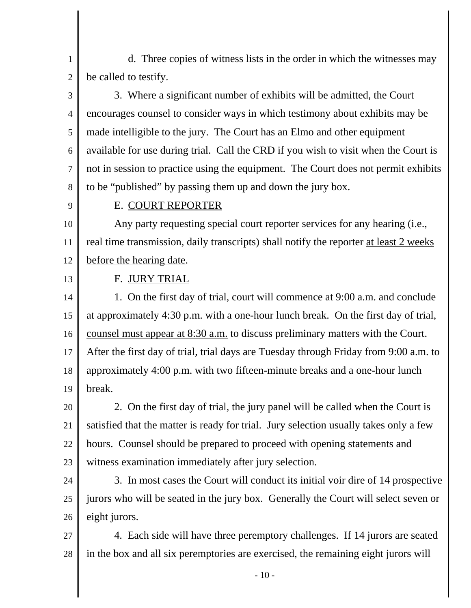1 2 d. Three copies of witness lists in the order in which the witnesses may be called to testify.

3 4 5 6 7 8 3. Where a significant number of exhibits will be admitted, the Court encourages counsel to consider ways in which testimony about exhibits may be made intelligible to the jury. The Court has an Elmo and other equipment available for use during trial. Call the CRD if you wish to visit when the Court is not in session to practice using the equipment. The Court does not permit exhibits to be "published" by passing them up and down the jury box.

9

#### E. COURT REPORTER

10 11 12 Any party requesting special court reporter services for any hearing (i.e., real time transmission, daily transcripts) shall notify the reporter at least 2 weeks before the hearing date.

13

### F. JURY TRIAL

14 15 16 17 18 19 1. On the first day of trial, court will commence at 9:00 a.m. and conclude at approximately 4:30 p.m. with a one-hour lunch break. On the first day of trial, counsel must appear at 8:30 a.m. to discuss preliminary matters with the Court. After the first day of trial, trial days are Tuesday through Friday from 9:00 a.m. to approximately 4:00 p.m. with two fifteen-minute breaks and a one-hour lunch break.

20 21 22 23 2. On the first day of trial, the jury panel will be called when the Court is satisfied that the matter is ready for trial. Jury selection usually takes only a few hours. Counsel should be prepared to proceed with opening statements and witness examination immediately after jury selection.

24

25 26 3. In most cases the Court will conduct its initial voir dire of 14 prospective jurors who will be seated in the jury box. Generally the Court will select seven or eight jurors.

27 28 4. Each side will have three peremptory challenges. If 14 jurors are seated in the box and all six peremptories are exercised, the remaining eight jurors will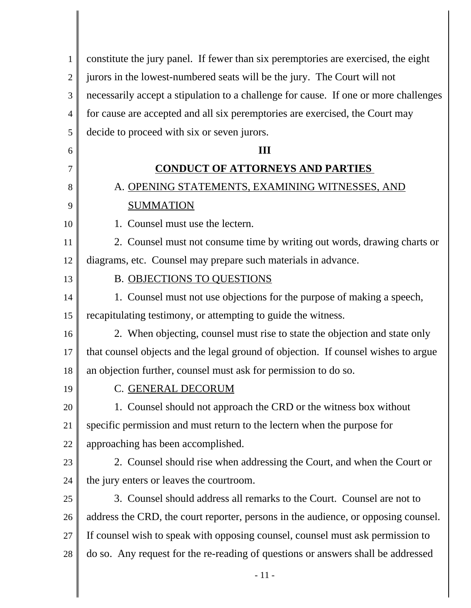| 1              | constitute the jury panel. If fewer than six peremptories are exercised, the eight   |
|----------------|--------------------------------------------------------------------------------------|
| $\mathfrak{2}$ | jurors in the lowest-numbered seats will be the jury. The Court will not             |
| 3              | necessarily accept a stipulation to a challenge for cause. If one or more challenges |
| 4              | for cause are accepted and all six peremptories are exercised, the Court may         |
| 5              | decide to proceed with six or seven jurors.                                          |
| 6              | III                                                                                  |
| 7              | <b>CONDUCT OF ATTORNEYS AND PARTIES</b>                                              |
| 8              | A. OPENING STATEMENTS, EXAMINING WITNESSES, AND                                      |
| 9              | <b>SUMMATION</b>                                                                     |
| 10             | 1. Counsel must use the lectern.                                                     |
| 11             | 2. Counsel must not consume time by writing out words, drawing charts or             |
| 12             | diagrams, etc. Counsel may prepare such materials in advance.                        |
| 13             | <b>B. OBJECTIONS TO QUESTIONS</b>                                                    |
| 14             | 1. Counsel must not use objections for the purpose of making a speech,               |
| 15             | recapitulating testimony, or attempting to guide the witness.                        |
| 16             | 2. When objecting, counsel must rise to state the objection and state only           |
| 17             | that counsel objects and the legal ground of objection. If counsel wishes to argue   |
| 18             | an objection further, counsel must ask for permission to do so.                      |
| 19             | C. GENERAL DECORUM                                                                   |
| 20             | 1. Counsel should not approach the CRD or the witness box without                    |
| 21             | specific permission and must return to the lectern when the purpose for              |
| 22             | approaching has been accomplished.                                                   |
| 23             | 2. Counsel should rise when addressing the Court, and when the Court or              |
| 24             | the jury enters or leaves the courtroom.                                             |
| 25             | 3. Counsel should address all remarks to the Court. Counsel are not to               |
| 26             | address the CRD, the court reporter, persons in the audience, or opposing counsel.   |
| 27             | If counsel wish to speak with opposing counsel, counsel must ask permission to       |
| 28             | do so. Any request for the re-reading of questions or answers shall be addressed     |
|                | $-11-$                                                                               |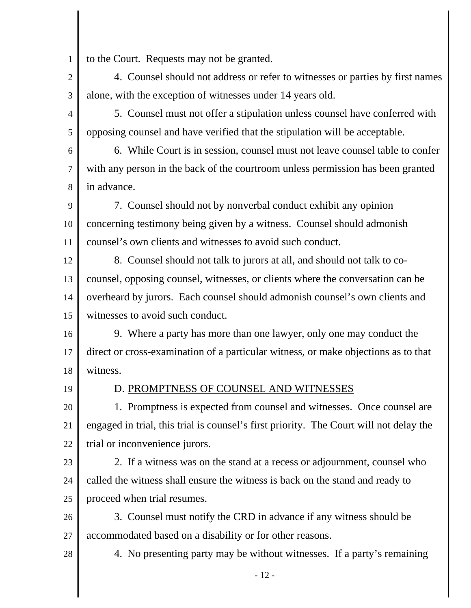1 to the Court. Requests may not be granted.

2 3 4. Counsel should not address or refer to witnesses or parties by first names alone, with the exception of witnesses under 14 years old.

4 5 5. Counsel must not offer a stipulation unless counsel have conferred with opposing counsel and have verified that the stipulation will be acceptable.

6 7 8 6. While Court is in session, counsel must not leave counsel table to confer with any person in the back of the courtroom unless permission has been granted in advance.

9 10 11 7. Counsel should not by nonverbal conduct exhibit any opinion concerning testimony being given by a witness. Counsel should admonish counsel's own clients and witnesses to avoid such conduct.

12 13 14 15 8. Counsel should not talk to jurors at all, and should not talk to cocounsel, opposing counsel, witnesses, or clients where the conversation can be overheard by jurors. Each counsel should admonish counsel's own clients and witnesses to avoid such conduct.

16 17 18 9. Where a party has more than one lawyer, only one may conduct the direct or cross-examination of a particular witness, or make objections as to that witness.

19

## D. PROMPTNESS OF COUNSEL AND WITNESSES

20 21 22 1. Promptness is expected from counsel and witnesses. Once counsel are engaged in trial, this trial is counsel's first priority. The Court will not delay the trial or inconvenience jurors.

23

28

24 25 2. If a witness was on the stand at a recess or adjournment, counsel who called the witness shall ensure the witness is back on the stand and ready to proceed when trial resumes.

26 27 3. Counsel must notify the CRD in advance if any witness should be accommodated based on a disability or for other reasons.

4. No presenting party may be without witnesses. If a party's remaining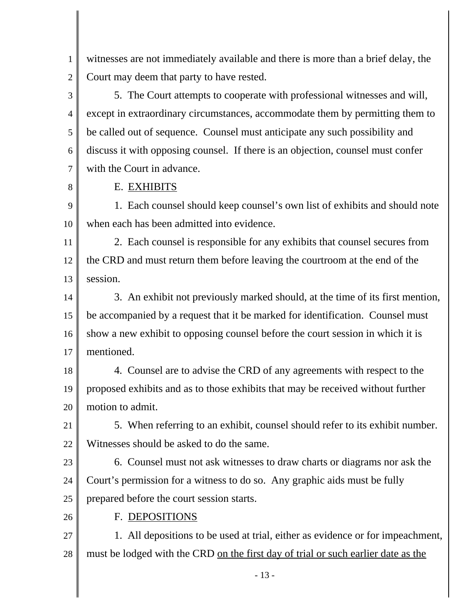1 2 witnesses are not immediately available and there is more than a brief delay, the Court may deem that party to have rested.

3 4 5 6 7 5. The Court attempts to cooperate with professional witnesses and will, except in extraordinary circumstances, accommodate them by permitting them to be called out of sequence. Counsel must anticipate any such possibility and discuss it with opposing counsel. If there is an objection, counsel must confer with the Court in advance.

8

### E. EXHIBITS

9 10 1. Each counsel should keep counsel's own list of exhibits and should note when each has been admitted into evidence.

11 12 13 2. Each counsel is responsible for any exhibits that counsel secures from the CRD and must return them before leaving the courtroom at the end of the session.

14 15 16 17 3. An exhibit not previously marked should, at the time of its first mention, be accompanied by a request that it be marked for identification. Counsel must show a new exhibit to opposing counsel before the court session in which it is mentioned.

18 19 20 4. Counsel are to advise the CRD of any agreements with respect to the proposed exhibits and as to those exhibits that may be received without further motion to admit.

21 22 5. When referring to an exhibit, counsel should refer to its exhibit number. Witnesses should be asked to do the same.

23

24 25 6. Counsel must not ask witnesses to draw charts or diagrams nor ask the Court's permission for a witness to do so. Any graphic aids must be fully prepared before the court session starts.

26

F. DEPOSITIONS

27 28 1. All depositions to be used at trial, either as evidence or for impeachment, must be lodged with the CRD on the first day of trial or such earlier date as the

- 13 -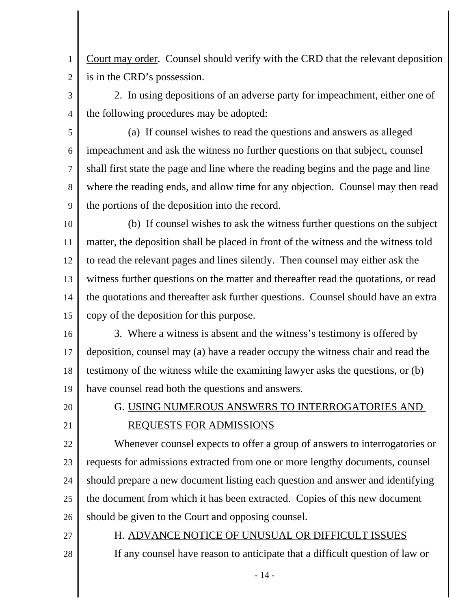1 2 Court may order. Counsel should verify with the CRD that the relevant deposition is in the CRD's possession.

- 3 4 2. In using depositions of an adverse party for impeachment, either one of the following procedures may be adopted:
- 5 6 7 8 9 (a) If counsel wishes to read the questions and answers as alleged impeachment and ask the witness no further questions on that subject, counsel shall first state the page and line where the reading begins and the page and line where the reading ends, and allow time for any objection. Counsel may then read the portions of the deposition into the record.
- 10 11 12 13 14 15 (b) If counsel wishes to ask the witness further questions on the subject matter, the deposition shall be placed in front of the witness and the witness told to read the relevant pages and lines silently. Then counsel may either ask the witness further questions on the matter and thereafter read the quotations, or read the quotations and thereafter ask further questions. Counsel should have an extra copy of the deposition for this purpose.
- 16 17 18 19 3. Where a witness is absent and the witness's testimony is offered by deposition, counsel may (a) have a reader occupy the witness chair and read the testimony of the witness while the examining lawyer asks the questions, or (b) have counsel read both the questions and answers.
- 20 21

# G. USING NUMEROUS ANSWERS TO INTERROGATORIES AND REQUESTS FOR ADMISSIONS

22 23 24 25 26 Whenever counsel expects to offer a group of answers to interrogatories or requests for admissions extracted from one or more lengthy documents, counsel should prepare a new document listing each question and answer and identifying the document from which it has been extracted. Copies of this new document should be given to the Court and opposing counsel.

27

28

H. ADVANCE NOTICE OF UNUSUAL OR DIFFICULT ISSUES

If any counsel have reason to anticipate that a difficult question of law or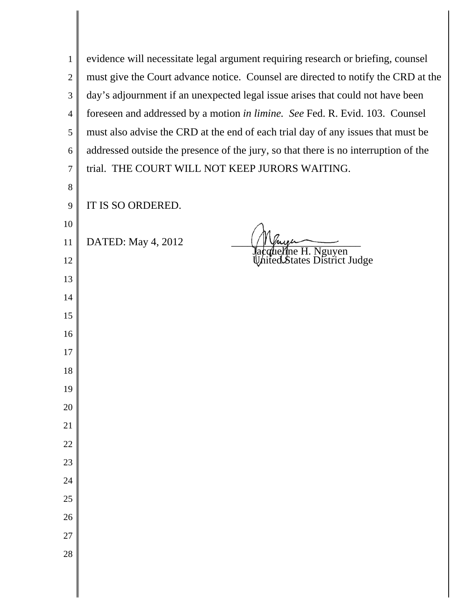| 1              | evidence will necessitate legal argument requiring research or briefing, counsel    |
|----------------|-------------------------------------------------------------------------------------|
| $\overline{2}$ | must give the Court advance notice. Counsel are directed to notify the CRD at the   |
| 3              | day's adjournment if an unexpected legal issue arises that could not have been      |
| $\overline{4}$ | foreseen and addressed by a motion in limine. See Fed. R. Evid. 103. Counsel        |
| $\mathfrak{S}$ | must also advise the CRD at the end of each trial day of any issues that must be    |
| 6              | addressed outside the presence of the jury, so that there is no interruption of the |
| $\overline{7}$ | trial. THE COURT WILL NOT KEEP JURORS WAITING.                                      |
| 8              |                                                                                     |
| 9              | IT IS SO ORDERED.                                                                   |
| 10             |                                                                                     |
| 11             | DATED: May 4, 2012                                                                  |
| 12             | Jacqueline H. Nguyen<br>United States District Judge                                |
| 13             |                                                                                     |
| 14             |                                                                                     |
| 15             |                                                                                     |
| 16             |                                                                                     |
| 17             |                                                                                     |
| 18             |                                                                                     |
| 19             |                                                                                     |
| 20             |                                                                                     |
| 21             |                                                                                     |
| 22             |                                                                                     |
| 23             |                                                                                     |
| 24             |                                                                                     |
| 25             |                                                                                     |
| 26             |                                                                                     |
| 27             |                                                                                     |
| 28             |                                                                                     |
|                |                                                                                     |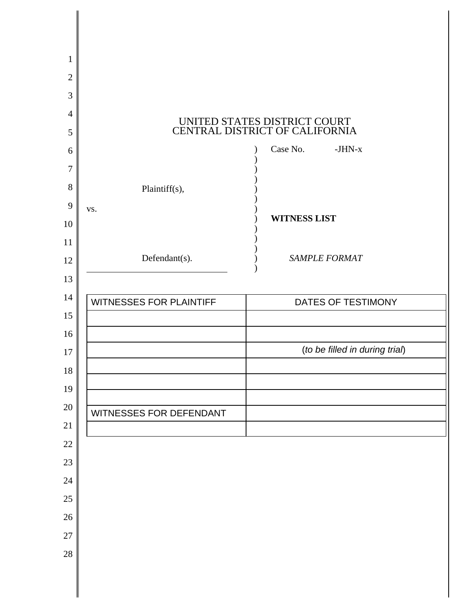